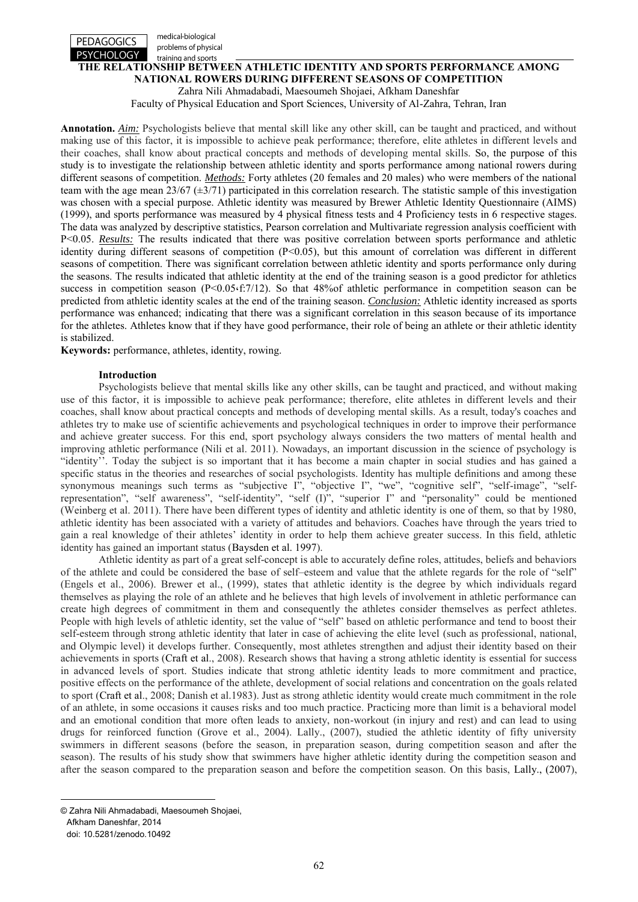medical-biological problems of physical training and sports

**PEDAGOGICS** 

**PSYCHOLOGY** 

# **THE RELATIONSHIP BETWEEN ATHLETIC IDENTITY AND SPORTS PERFORMANCE AMONG NATIONAL ROWERS DURING DIFFERENT SEASONS OF COMPETITION**

Zahra Nili Ahmadabadi, Maesoumeh Shojaei, Afkham Daneshfar

Faculty of Physical Education and Sport Sciences, University of Al-Zahra, Tehran, Iran

**Annotation.** *Aim:* Psychologists believe that mental skill like any other skill, can be taught and practiced, and without making use of this factor, it is impossible to achieve peak performance; therefore, elite athletes in different levels and their coaches, shall know about practical concepts and methods of developing mental skills. So, the purpose of this study is to investigate the relationship between athletic identity and sports performance among national rowers during different seasons of competition. *Methods:* Forty athletes (20 females and 20 males) who were members of the national team with the age mean  $23/67 \left(\pm 3/71\right)$  participated in this correlation research. The statistic sample of this investigation was chosen with a special purpose. Athletic identity was measured by Brewer Athletic Identity Questionnaire (AIMS) (1999), and sports performance was measured by 4 physical fitness tests and 4 Proficiency tests in 6 respective stages. The data was analyzed by descriptive statistics, Pearson correlation and Multivariate regression analysis coefficient with P<0.05. *Results:* The results indicated that there was positive correlation between sports performance and athletic identity during different seasons of competition (P<0.05), but this amount of correlation was different in different seasons of competition. There was significant correlation between athletic identity and sports performance only during the seasons. The results indicated that athletic identity at the end of the training season is a good predictor for athletics success in competition season  $(P< 0.05 \cdot f$ : 7/12). So that 48% of athletic performance in competition season can be predicted from athletic identity scales at the end of the training season. *Conclusion:* Athletic identity increased as sports performance was enhanced; indicating that there was a significant correlation in this season because of its importance for the athletes. Athletes know that if they have good performance, their role of being an athlete or their athletic identity is stabilized.

**Keywords:** performance, athletes, identity, rowing.

## **Introduction**

Psychologists believe that mental skills like any other skills, can be taught and practiced, and without making use of this factor, it is impossible to achieve peak performance; therefore, elite athletes in different levels and their coaches, shall know about practical concepts and methods of developing mental skills. As a result, today's coaches and athletes try to make use of scientific achievements and psychological techniques in order to improve their performance and achieve greater success. For this end, sport psychology always considers the two matters of mental health and improving athletic performance (Nili et al. 2011). Nowadays, an important discussion in the science of psychology is "identity''. Today the subject is so important that it has become a main chapter in social studies and has gained a specific status in the theories and researches of social psychologists. Identity has multiple definitions and among these synonymous meanings such terms as "subjective I", "objective I", "we", "cognitive self", "self-image", "selfrepresentation", "self awareness", "self-identity", "self (I)", "superior I" and "personality" could be mentioned (Weinberg et al. 2011). There have been different types of identity and athletic identity is one of them, so that by 1980, athletic identity has been associated with a variety of attitudes and behaviors. Coaches have through the years tried to gain a real knowledge of their athletes' identity in order to help them achieve greater success. In this field, athletic identity has gained an important status (Baysden et al. 1997).

Athletic identity as part of a great self-concept is able to accurately define roles, attitudes, beliefs and behaviors of the athlete and could be considered the base of self–esteem and value that the athlete regards for the role of "self" (Engels et al., 2006). Brewer et al., (1999), states that athletic identity is the degree by which individuals regard themselves as playing the role of an athlete and he believes that high levels of involvement in athletic performance can create high degrees of commitment in them and consequently the athletes consider themselves as perfect athletes. People with high levels of athletic identity, set the value of "self" based on athletic performance and tend to boost their self-esteem through strong athletic identity that later in case of achieving the elite level (such as professional, national, and Olympic level) it develops further. Consequently, most athletes strengthen and adjust their identity based on their achievements in sports (Craft et al., 2008). Research shows that having a strong athletic identity is essential for success in advanced levels of sport. Studies indicate that strong athletic identity leads to more commitment and practice, positive effects on the performance of the athlete, development of social relations and concentration on the goals related to sport (Craft et al., 2008; Danish et al.1983). Just as strong athletic identity would create much commitment in the role of an athlete, in some occasions it causes risks and too much practice. Practicing more than limit is a behavioral model and an emotional condition that more often leads to anxiety, non-workout (in injury and rest) and can lead to using drugs for reinforced function (Grove et al., 2004). Lally., (2007), studied the athletic identity of fifty university swimmers in different seasons (before the season, in preparation season, during competition season and after the season). The results of his study show that swimmers have higher athletic identity during the competition season and after the season compared to the preparation season and before the competition season. On this basis, Lally., (2007),

<sup>&</sup>lt;u>.</u> © Zahra Nili Ahmadabadi, Maesoumeh Shojaei,

Afkham Daneshfar, 2014 doi: 10.5281/zenodo.10492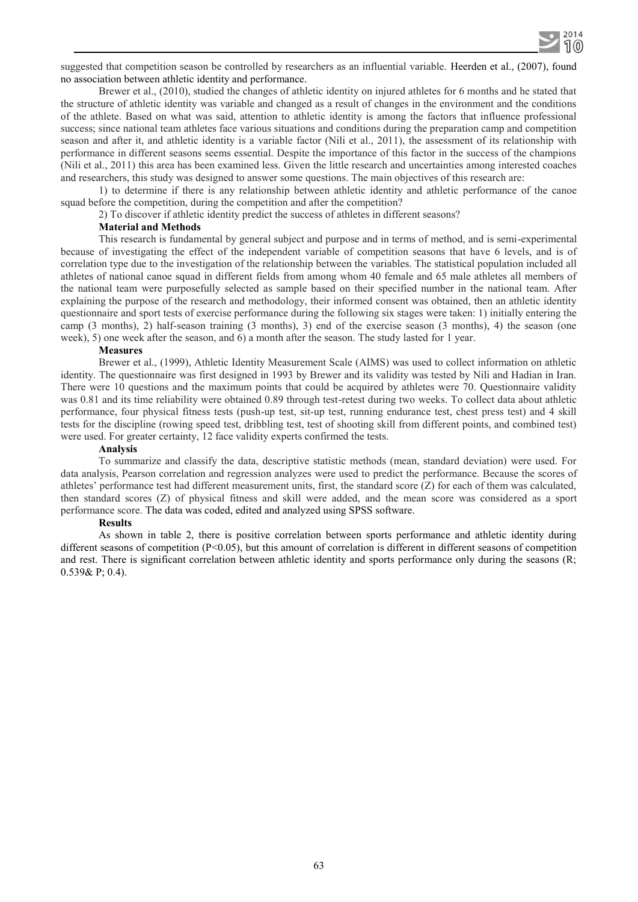

suggested that competition season be controlled by researchers as an influential variable. Heerden et al., (2007), found no association between athletic identity and performance.

Brewer et al., (2010), studied the changes of athletic identity on injured athletes for 6 months and he stated that the structure of athletic identity was variable and changed as a result of changes in the environment and the conditions of the athlete. Based on what was said, attention to athletic identity is among the factors that influence professional success; since national team athletes face various situations and conditions during the preparation camp and competition season and after it, and athletic identity is a variable factor (Nili et al., 2011), the assessment of its relationship with performance in different seasons seems essential. Despite the importance of this factor in the success of the champions (Nili et al., 2011) this area has been examined less. Given the little research and uncertainties among interested coaches and researchers, this study was designed to answer some questions. The main objectives of this research are:

1) to determine if there is any relationship between athletic identity and athletic performance of the canoe squad before the competition, during the competition and after the competition?

2) To discover if athletic identity predict the success of athletes in different seasons?

### **Material and Methods**

This research is fundamental by general subject and purpose and in terms of method, and is semi-experimental because of investigating the effect of the independent variable of competition seasons that have 6 levels, and is of correlation type due to the investigation of the relationship between the variables. The statistical population included all athletes of national canoe squad in different fields from among whom 40 female and 65 male athletes all members of the national team were purposefully selected as sample based on their specified number in the national team. After explaining the purpose of the research and methodology, their informed consent was obtained, then an athletic identity questionnaire and sport tests of exercise performance during the following six stages were taken: 1) initially entering the camp (3 months), 2) half-season training (3 months), 3) end of the exercise season (3 months), 4) the season (one week), 5) one week after the season, and 6) a month after the season. The study lasted for 1 year.

#### **Measures**

Brewer et al., (1999), Athletic Identity Measurement Scale (AIMS) was used to collect information on athletic identity. The questionnaire was first designed in 1993 by Brewer and its validity was tested by Nili and Hadian in Iran. There were 10 questions and the maximum points that could be acquired by athletes were 70. Questionnaire validity was 0.81 and its time reliability were obtained 0.89 through test-retest during two weeks. To collect data about athletic performance, four physical fitness tests (push-up test, sit-up test, running endurance test, chest press test) and 4 skill tests for the discipline (rowing speed test, dribbling test, test of shooting skill from different points, and combined test) were used. For greater certainty, 12 face validity experts confirmed the tests.

# **Analysis**

To summarize and classify the data, descriptive statistic methods (mean, standard deviation) were used. For data analysis, Pearson correlation and regression analyzes were used to predict the performance. Because the scores of athletes' performance test had different measurement units, first, the standard score (Z) for each of them was calculated, then standard scores (Z) of physical fitness and skill were added, and the mean score was considered as a sport performance score. The data was coded, edited and analyzed using SPSS software.

## **Results**

As shown in table 2, there is positive correlation between sports performance and athletic identity during different seasons of competition (P<0.05), but this amount of correlation is different in different seasons of competition and rest. There is significant correlation between athletic identity and sports performance only during the seasons (R; 0.539& P; 0.4).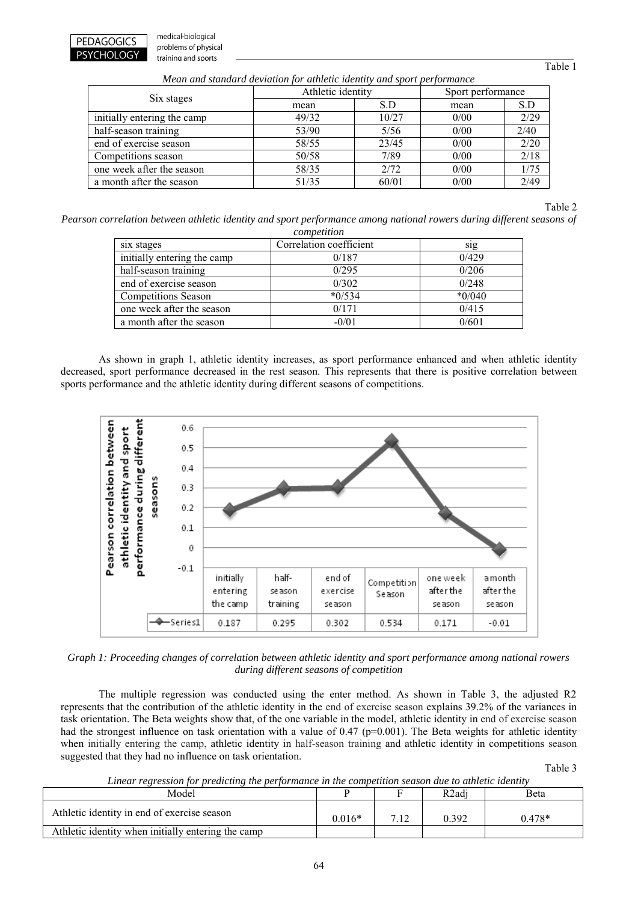medical-biological problems of physical training and sports

Table 1

| mean ana sianaara acrianon jor annene iaeniny ana sport perjormance |                   |       |                   |      |  |  |
|---------------------------------------------------------------------|-------------------|-------|-------------------|------|--|--|
| Six stages                                                          | Athletic identity |       | Sport performance |      |  |  |
|                                                                     | mean              | S.D   | mean              | S.D  |  |  |
| initially entering the camp                                         | 49/32             | 10/27 | 0/00              | 2/29 |  |  |
| half-season training                                                | 53/90             | 5/56  | 0/00              | 2/40 |  |  |
| end of exercise season                                              | 58/55             | 23/45 | 0/00              | 2/20 |  |  |
| Competitions season                                                 | 50/58             | 7/89  | 0/00              | 2/18 |  |  |
| one week after the season                                           | 58/35             | 2/72  | 0/00              | 1/75 |  |  |
| a month after the season                                            | 51/35             | 60/01 | 0/00              | 2/49 |  |  |

*Mean and standard deviation for athletic identity and sport performance*

Table 2

*Pearson correlation between athletic identity and sport performance among national rowers during different seasons of competition*

| six stages                  | Correlation coefficient | sig      |
|-----------------------------|-------------------------|----------|
| initially entering the camp | 0/187                   | 0/429    |
| half-season training        | 0/295                   | 0/206    |
| end of exercise season      | 0/302                   | 0/248    |
| <b>Competitions Season</b>  | $*0/534$                | $*0/040$ |
| one week after the season   | 0/171                   | 0/415    |
| a month after the season    | $-0/01$                 | 0/601    |

As shown in graph 1, athletic identity increases, as sport performance enhanced and when athletic identity decreased, sport performance decreased in the rest season. This represents that there is positive correlation between sports performance and the athletic identity during different seasons of competitions.



*Graph 1: Proceeding changes of correlation between athletic identity and sport performance among national rowers during different seasons of competition* 

The multiple regression was conducted using the enter method. As shown in Table 3, the adjusted R2 represents that the contribution of the athletic identity in the end of exercise season explains 39.2% of the variances in task orientation. The Beta weights show that, of the one variable in the model, athletic identity in end of exercise season had the strongest influence on task orientation with a value of 0.47 (p=0.001). The Beta weights for athletic identity when initially entering the camp, athletic identity in half-season training and athletic identity in competitions season suggested that they had no influence on task orientation.

Table 3

*Linear regression for predicting the performance in the competition season due to athletic identity* 

| Enfour Textbooten for predicting the performance in the competition season and to annethe taching |        |  |       |          |  |
|---------------------------------------------------------------------------------------------------|--------|--|-------|----------|--|
| Model                                                                                             |        |  | R2adi | Beta     |  |
| Athletic identity in end of exercise season                                                       | 0 016* |  | 0.392 | $0.478*$ |  |
| Athletic identity when initially entering the camp                                                |        |  |       |          |  |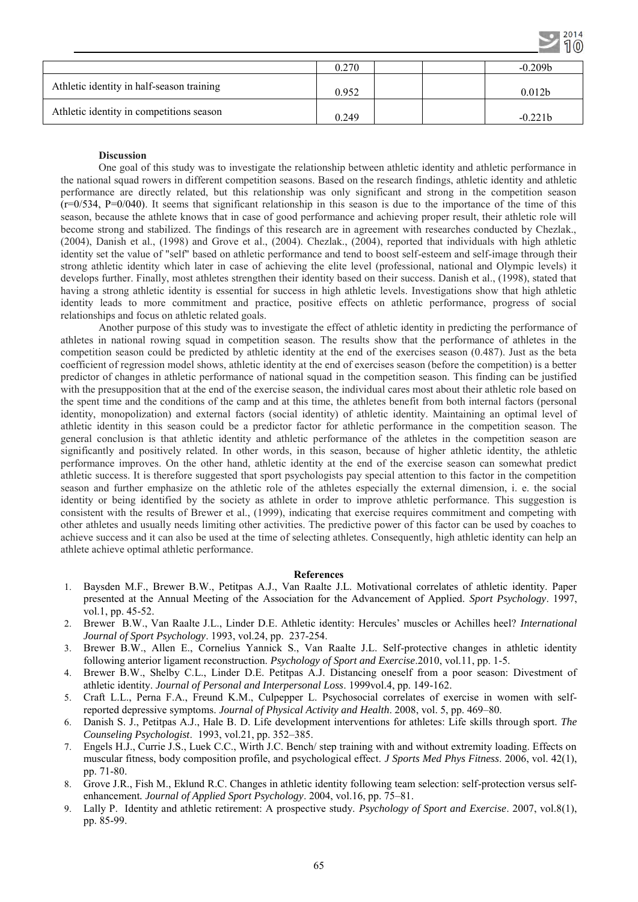|                                           | 0.270 | $-0.209b$          |
|-------------------------------------------|-------|--------------------|
| Athletic identity in half-season training | 0.952 | 0.012 <sub>b</sub> |
| Athletic identity in competitions season  | 0.249 | $-0.221b$          |

#### **Discussion**

One goal of this study was to investigate the relationship between athletic identity and athletic performance in the national squad rowers in different competition seasons. Based on the research findings, athletic identity and athletic performance are directly related, but this relationship was only significant and strong in the competition season (r=0/534, P=0/040). It seems that significant relationship in this season is due to the importance of the time of this season, because the athlete knows that in case of good performance and achieving proper result, their athletic role will become strong and stabilized. The findings of this research are in agreement with researches conducted by Chezlak., (2004), Danish et al., (1998) and Grove et al., (2004). Chezlak., (2004), reported that individuals with high athletic identity set the value of "self" based on athletic performance and tend to boost self-esteem and self-image through their strong athletic identity which later in case of achieving the elite level (professional, national and Olympic levels) it develops further. Finally, most athletes strengthen their identity based on their success. Danish et al., (1998), stated that having a strong athletic identity is essential for success in high athletic levels. Investigations show that high athletic identity leads to more commitment and practice, positive effects on athletic performance, progress of social relationships and focus on athletic related goals.

Another purpose of this study was to investigate the effect of athletic identity in predicting the performance of athletes in national rowing squad in competition season. The results show that the performance of athletes in the competition season could be predicted by athletic identity at the end of the exercises season (0.487). Just as the beta coefficient of regression model shows, athletic identity at the end of exercises season (before the competition) is a better predictor of changes in athletic performance of national squad in the competition season. This finding can be justified with the presupposition that at the end of the exercise season, the individual cares most about their athletic role based on the spent time and the conditions of the camp and at this time, the athletes benefit from both internal factors (personal identity, monopolization) and external factors (social identity) of athletic identity. Maintaining an optimal level of athletic identity in this season could be a predictor factor for athletic performance in the competition season. The general conclusion is that athletic identity and athletic performance of the athletes in the competition season are significantly and positively related. In other words, in this season, because of higher athletic identity, the athletic performance improves. On the other hand, athletic identity at the end of the exercise season can somewhat predict athletic success. It is therefore suggested that sport psychologists pay special attention to this factor in the competition season and further emphasize on the athletic role of the athletes especially the external dimension, i. e. the social identity or being identified by the society as athlete in order to improve athletic performance. This suggestion is consistent with the results of Brewer et al., (1999), indicating that exercise requires commitment and competing with other athletes and usually needs limiting other activities. The predictive power of this factor can be used by coaches to achieve success and it can also be used at the time of selecting athletes. Consequently, high athletic identity can help an athlete achieve optimal athletic performance.

### **References**

- 1. Baysden M.F., Brewer B.W., Petitpas A.J., Van Raalte J.L. Motivational correlates of athletic identity. Paper presented at the Annual Meeting of the Association for the Advancement of Applied. *Sport Psychology*. 1997, vol.1, pp. 45-52.
- 2. Brewer B.W., Van Raalte J.L., Linder D.E. Athletic identity: Hercules' muscles or Achilles heel? *International Journal of Sport Psychology*. 1993, vol.24, pp. 237-254.
- 3. Brewer B.W., Allen E., Cornelius Yannick S., Van Raalte J.L. Self-protective changes in athletic identity following anterior ligament reconstruction. *Psychology of Sport and Exercise*.2010, vol.11, pp. 1-5.
- 4. Brewer B.W., Shelby C.L., Linder D.E. Petitpas A.J. Distancing oneself from a poor season: Divestment of athletic identity. *Journal of Personal and Interpersonal Loss*. 1999vol.4, pp. 149-162.
- 5. Craft L.L., Perna F.A., Freund K.M., Culpepper L. Psychosocial correlates of exercise in women with selfreported depressive symptoms. *Journal of Physical Activity and Health*. 2008, vol. 5, pp. 469–80.
- 6. Danish S. J., Petitpas A.J., Hale B. D. Life development interventions for athletes: Life skills through sport. *The Counseling Psychologist*. 1993, vol.21, pp. 352–385.
- 7. Engels H.J., Currie J.S., Luek C.C., Wirth J.C. Bench/ step training with and without extremity loading. Effects on muscular fitness, body composition profile, and psychological effect. *J Sports Med Phys Fitness*. 2006, vol. 42(1), pp. 71-80.
- 8. Grove J.R., Fish M., Eklund R.C. Changes in athletic identity following team selection: self-protection versus selfenhancement*. Journal of Applied Sport Psychology*. 2004, vol.16, pp. 75–81.
- 9. Lally P. Identity and athletic retirement: A prospective study. *Psychology of Sport and Exercise*. 2007, vol.8(1), pp. 85-99.